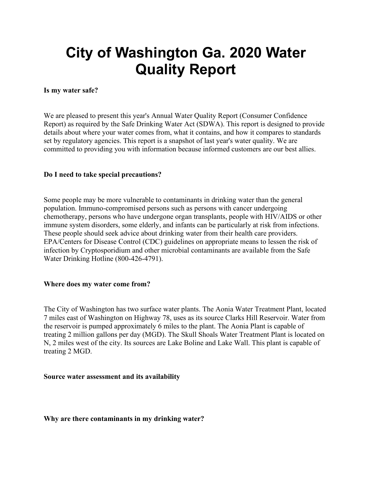# **City of Washington Ga. 2020 Water Quality Report**

# **Is my water safe?**

We are pleased to present this year's Annual Water Quality Report (Consumer Confidence Report) as required by the Safe Drinking Water Act (SDWA). This report is designed to provide details about where your water comes from, what it contains, and how it compares to standards set by regulatory agencies. This report is a snapshot of last year's water quality. We are committed to providing you with information because informed customers are our best allies.

# **Do I need to take special precautions?**

Some people may be more vulnerable to contaminants in drinking water than the general population. Immuno-compromised persons such as persons with cancer undergoing chemotherapy, persons who have undergone organ transplants, people with HIV/AIDS or other immune system disorders, some elderly, and infants can be particularly at risk from infections. These people should seek advice about drinking water from their health care providers. EPA/Centers for Disease Control (CDC) guidelines on appropriate means to lessen the risk of infection by Cryptosporidium and other microbial contaminants are available from the Safe Water Drinking Hotline (800-426-4791).

# **Where does my water come from?**

The City of Washington has two surface water plants. The Aonia Water Treatment Plant, located 7 miles east of Washington on Highway 78, uses as its source Clarks Hill Reservoir. Water from the reservoir is pumped approximately 6 miles to the plant. The Aonia Plant is capable of treating 2 million gallons per day (MGD). The Skull Shoals Water Treatment Plant is located on N, 2 miles west of the city. Its sources are Lake Boline and Lake Wall. This plant is capable of treating 2 MGD.

## **Source water assessment and its availability**

## **Why are there contaminants in my drinking water?**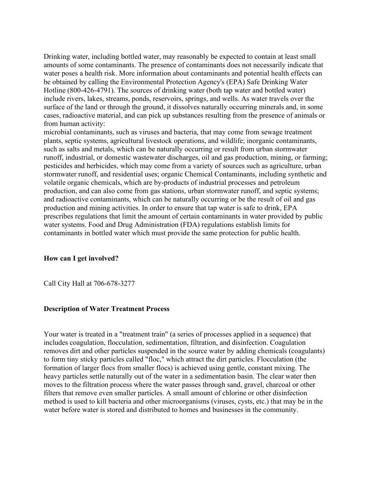Drinking water, including bottled water, may reasonably be expected to contain at least small amounts of some contaminants. The presence of contaminants does not necessarily indicate that water poses a health risk. More information about contaminants and potential health effects can be obtained by calling the Environmental Protection Agency's (EPA) Safe Drinking Water Hotline (800-426-4791). The sources of drinking water (both tap water and bottled water) include rivers, lakes, streams, ponds, reservoirs, springs, and wells. As water travels over the surface of the land or through the ground, it dissolves naturally occurring minerals and, in some cases, radioactive material, and can pick up substances resulting from the presence of animals or from human activity:

microbial contaminants, such as viruses and bacteria, that may come from sewage treatment plants, septic systems, agricultural livestock operations, and wildlife; inorganic contaminants, such as salts and metals, which can be naturally occurring or result from urban stormwater runoff, industrial, or domestic wastewater discharges, oil and gas production, mining, or farming; pesticides and herbicides, which may come from a variety of sources such as agriculture, urban stormwater runoff, and residential uses; organic Chemical Contaminants, including synthetic and volatile organic chemicals, which are by-products of industrial processes and petroleum production, and can also come from gas stations, urban stormwater runoff, and septic systems; and radioactive contaminants, which can be naturally occurring or be the result of oil and gas production and mining activities. In order to ensure that tap water is safe to drink, EPA prescribes regulations that limit the amount of certain contaminants in water provided by public water systems. Food and Drug Administration (FDA) regulations establish limits for contaminants in bottled water which must provide the same protection for public health.

# **How can I get involved?**

Call City Hall at 706-678-3277

## **Description of Water Treatment Process**

Your water is treated in a "treatment train" (a series of processes applied in a sequence) that includes coagulation, flocculation, sedimentation, filtration, and disinfection. Coagulation removes dirt and other particles suspended in the source water by adding chemicals (coagulants) to form tiny sticky particles called "floc," which attract the dirt particles. Flocculation (the formation of larger flocs from smaller flocs) is achieved using gentle, constant mixing. The heavy particles settle naturally out of the water in a sedimentation basin. The clear water then moves to the filtration process where the water passes through sand, gravel, charcoal or other filters that remove even smaller particles. A small amount of chlorine or other disinfection method is used to kill bacteria and other microorganisms (viruses, cysts, etc.) that may be in the water before water is stored and distributed to homes and businesses in the community.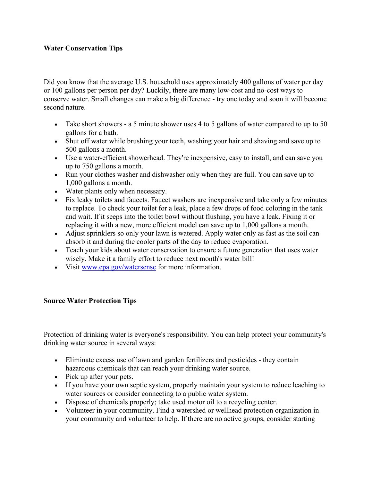# **Water Conservation Tips**

Did you know that the average U.S. household uses approximately 400 gallons of water per day or 100 gallons per person per day? Luckily, there are many low-cost and no-cost ways to conserve water. Small changes can make a big difference - try one today and soon it will become second nature.

- Take short showers a 5 minute shower uses 4 to 5 gallons of water compared to up to 50 gallons for a bath.
- Shut off water while brushing your teeth, washing your hair and shaving and save up to 500 gallons a month.
- Use a water-efficient showerhead. They're inexpensive, easy to install, and can save you up to 750 gallons a month.
- Run your clothes washer and dishwasher only when they are full. You can save up to 1,000 gallons a month.
- Water plants only when necessary.
- Fix leaky toilets and faucets. Faucet washers are inexpensive and take only a few minutes to replace. To check your toilet for a leak, place a few drops of food coloring in the tank and wait. If it seeps into the toilet bowl without flushing, you have a leak. Fixing it or replacing it with a new, more efficient model can save up to 1,000 gallons a month.
- Adjust sprinklers so only your lawn is watered. Apply water only as fast as the soil can absorb it and during the cooler parts of the day to reduce evaporation.
- Teach your kids about water conservation to ensure a future generation that uses water wisely. Make it a family effort to reduce next month's water bill!
- Visit [www.epa.gov/watersense](http://www.epa.gov/watersense) for more information.

# **Source Water Protection Tips**

Protection of drinking water is everyone's responsibility. You can help protect your community's drinking water source in several ways:

- Eliminate excess use of lawn and garden fertilizers and pesticides they contain hazardous chemicals that can reach your drinking water source.
- Pick up after your pets.
- If you have your own septic system, properly maintain your system to reduce leaching to water sources or consider connecting to a public water system.
- Dispose of chemicals properly; take used motor oil to a recycling center.
- Volunteer in your community. Find a watershed or wellhead protection organization in your community and volunteer to help. If there are no active groups, consider starting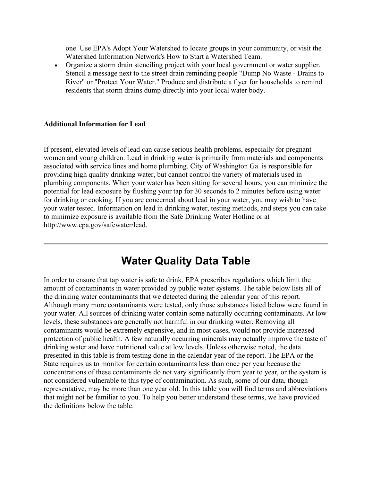one. Use EPA's Adopt Your Watershed to locate groups in your community, or visit the Watershed Information Network's How to Start a Watershed Team.

• Organize a storm drain stenciling project with your local government or water supplier. Stencil a message next to the street drain reminding people "Dump No Waste - Drains to River" or "Protect Your Water." Produce and distribute a flyer for households to remind residents that storm drains dump directly into your local water body.

# **Additional Information for Lead**

If present, elevated levels of lead can cause serious health problems, especially for pregnant women and young children. Lead in drinking water is primarily from materials and components associated with service lines and home plumbing. City of Washington Ga. is responsible for providing high quality drinking water, but cannot control the variety of materials used in plumbing components. When your water has been sitting for several hours, you can minimize the potential for lead exposure by flushing your tap for 30 seconds to 2 minutes before using water for drinking or cooking. If you are concerned about lead in your water, you may wish to have your water tested. Information on lead in drinking water, testing methods, and steps you can take to minimize exposure is available from the Safe Drinking Water Hotline or at http://www.epa.gov/safewater/lead.

# **Water Quality Data Table**

In order to ensure that tap water is safe to drink, EPA prescribes regulations which limit the amount of contaminants in water provided by public water systems. The table below lists all of the drinking water contaminants that we detected during the calendar year of this report. Although many more contaminants were tested, only those substances listed below were found in your water. All sources of drinking water contain some naturally occurring contaminants. At low levels, these substances are generally not harmful in our drinking water. Removing all contaminants would be extremely expensive, and in most cases, would not provide increased protection of public health. A few naturally occurring minerals may actually improve the taste of drinking water and have nutritional value at low levels. Unless otherwise noted, the data presented in this table is from testing done in the calendar year of the report. The EPA or the State requires us to monitor for certain contaminants less than once per year because the concentrations of these contaminants do not vary significantly from year to year, or the system is not considered vulnerable to this type of contamination. As such, some of our data, though representative, may be more than one year old. In this table you will find terms and abbreviations that might not be familiar to you. To help you better understand these terms, we have provided the definitions below the table.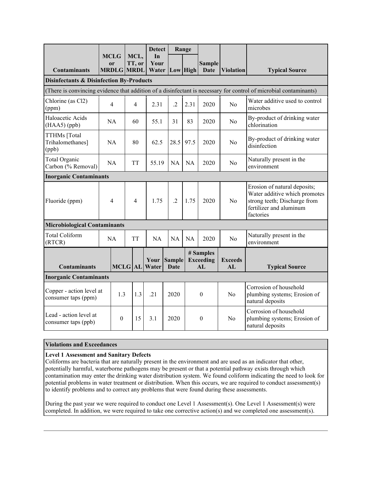|                                                                                                                   |           |                                                   |                |                | <b>Detect</b>                |                       | Range     |                                                  |                      |                                                                                                                                       |  |
|-------------------------------------------------------------------------------------------------------------------|-----------|---------------------------------------------------|----------------|----------------|------------------------------|-----------------------|-----------|--------------------------------------------------|----------------------|---------------------------------------------------------------------------------------------------------------------------------------|--|
| <b>Contaminants</b>                                                                                               |           | <b>MCLG</b><br><sub>or</sub><br><b>MRDLG MRDL</b> |                | MCL,<br>TT, or | In<br>Your<br>Water          |                       | Low High  | <b>Sample</b><br>Date                            | <b>Violation</b>     | <b>Typical Source</b>                                                                                                                 |  |
| <b>Disinfectants &amp; Disinfection By-Products</b>                                                               |           |                                                   |                |                |                              |                       |           |                                                  |                      |                                                                                                                                       |  |
| (There is convincing evidence that addition of a disinfectant is necessary for control of microbial contaminants) |           |                                                   |                |                |                              |                       |           |                                                  |                      |                                                                                                                                       |  |
| Chlorine (as Cl2)<br>(ppm)                                                                                        | 4         |                                                   |                | $\overline{4}$ | 2.31                         | $\cdot$ .2            | 2.31      | 2020                                             | No                   | Water additive used to control<br>microbes                                                                                            |  |
| Haloacetic Acids<br>$(HAA5)$ (ppb)                                                                                | <b>NA</b> |                                                   |                | 60             | 55.1                         | 31                    | 83        | 2020                                             | No                   | By-product of drinking water<br>chlorination                                                                                          |  |
| TTHMs [Total<br>Trihalomethanes]<br>(ppb)                                                                         | <b>NA</b> |                                                   |                | 80             | 62.5                         | 28.5                  | 97.5      | 2020                                             | No                   | By-product of drinking water<br>disinfection                                                                                          |  |
| Total Organic<br>Carbon (% Removal)                                                                               | <b>NA</b> |                                                   |                | <b>TT</b>      | 55.19                        | <b>NA</b>             | <b>NA</b> | 2020                                             | No                   | Naturally present in the<br>environment                                                                                               |  |
| <b>Inorganic Contaminants</b>                                                                                     |           |                                                   |                |                |                              |                       |           |                                                  |                      |                                                                                                                                       |  |
| Fluoride (ppm)                                                                                                    | 4         |                                                   | $\overline{4}$ |                | 1.75                         | $\cdot$               | 1.75      | 2020                                             | No                   | Erosion of natural deposits;<br>Water additive which promotes<br>strong teeth; Discharge from<br>fertilizer and aluminum<br>factories |  |
| <b>Microbiological Contaminants</b>                                                                               |           |                                                   |                |                |                              |                       |           |                                                  |                      |                                                                                                                                       |  |
| Total Coliform<br>(RTCR)                                                                                          | NA        |                                                   | <b>TT</b>      |                | NA                           | NA                    | NA        | 2020                                             | N <sub>o</sub>       | Naturally present in the<br>environment                                                                                               |  |
| <b>Contaminants</b>                                                                                               |           |                                                   |                |                | Your<br><b>MCLG AL Water</b> | <b>Sample</b><br>Date |           | # Samples<br><b>Exceeding</b><br>AI <sub>1</sub> | <b>Exceeds</b><br>AL | <b>Typical Source</b>                                                                                                                 |  |
| <b>Inorganic Contaminants</b>                                                                                     |           |                                                   |                |                |                              |                       |           |                                                  |                      |                                                                                                                                       |  |
| Copper - action level at<br>consumer taps (ppm)                                                                   |           | 1.3                                               |                | 1.3            | .21                          | 2020                  |           | $\boldsymbol{0}$                                 | No                   | Corrosion of household<br>plumbing systems; Erosion of<br>natural deposits                                                            |  |
| Lead - action level at<br>consumer taps (ppb)                                                                     |           | $\theta$                                          | 15             |                | 3.1                          | 2020                  |           | $\mathbf{0}$                                     | N <sub>0</sub>       | Corrosion of household<br>plumbing systems; Erosion of<br>natural deposits                                                            |  |

#### **Violations and Exceedances**

#### **Level 1 Assessment and Sanitary Defects**

Coliforms are bacteria that are naturally present in the environment and are used as an indicator that other, potentially harmful, waterborne pathogens may be present or that a potential pathway exists through which contamination may enter the drinking water distribution system. We found coliform indicating the need to look for potential problems in water treatment or distribution. When this occurs, we are required to conduct assessment(s) to identify problems and to correct any problems that were found during these assessments.

During the past year we were required to conduct one Level 1 Assessment(s). One Level 1 Assessment(s) were completed. In addition, we were required to take one corrective action(s) and we completed one assessment(s).